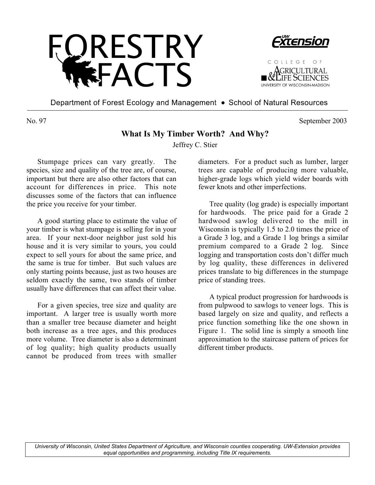



COLLEGE OF GRICULTURAL **THE SCIENCES** UNIVERSITY OF WISCONSIN

Department of Forest Ecology and Management • School of Natural Resources

No. 97 September 2003

## **What Is My Timber Worth? And Why?**

Jeffrey C. Stier

Stumpage prices can vary greatly. The species, size and quality of the tree are, of course, important but there are also other factors that can account for differences in price. This note discusses some of the factors that can influence the price you receive for your timber.

A good starting place to estimate the value of your timber is what stumpage is selling for in your area. If your next-door neighbor just sold his house and it is very similar to yours, you could expect to sell yours for about the same price, and the same is true for timber. But such values are only starting points because, just as two houses are seldom exactly the same, two stands of timber usually have differences that can affect their value.

For a given species, tree size and quality are important. A larger tree is usually worth more than a smaller tree because diameter and height both increase as a tree ages, and this produces more volume. Tree diameter is also a determinant of log quality; high quality products usually cannot be produced from trees with smaller

diameters. For a product such as lumber, larger trees are capable of producing more valuable, higher-grade logs which yield wider boards with fewer knots and other imperfections.

Tree quality (log grade) is especially important for hardwoods. The price paid for a Grade 2 hardwood sawlog delivered to the mill in Wisconsin is typically 1.5 to 2.0 times the price of a Grade 3 log, and a Grade 1 log brings a similar premium compared to a Grade 2 log. Since logging and transportation costs don't differ much by log quality, these differences in delivered prices translate to big differences in the stumpage price of standing trees.

A typical product progression for hardwoods is from pulpwood to sawlogs to veneer logs. This is based largely on size and quality, and reflects a price function something like the one shown in Figure 1. The solid line is simply a smooth line approximation to the staircase pattern of prices for different timber products.

*University of Wisconsin, United States Department of Agriculture, and Wisconsin counties cooperating. UW-Extension provides equal opportunities and programming, including Title IX requirements.*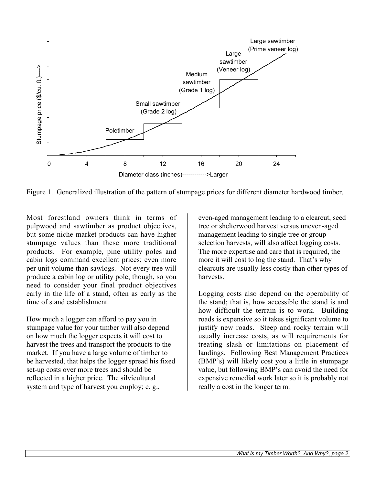

Figure 1. Generalized illustration of the pattern of stumpage prices for different diameter hardwood timber.

Most forestland owners think in terms of pulpwood and sawtimber as product objectives, but some niche market products can have higher stumpage values than these more traditional products. For example, pine utility poles and cabin logs command excellent prices; even more per unit volume than sawlogs. Not every tree will produce a cabin log or utility pole, though, so you need to consider your final product objectives early in the life of a stand, often as early as the time of stand establishment.

How much a logger can afford to pay you in stumpage value for your timber will also depend on how much the logger expects it will cost to harvest the trees and transport the products to the market. If you have a large volume of timber to be harvested, that helps the logger spread his fixed set-up costs over more trees and should be reflected in a higher price. The silvicultural system and type of harvest you employ; e. g.,

even-aged management leading to a clearcut, seed tree or shelterwood harvest versus uneven-aged management leading to single tree or group selection harvests, will also affect logging costs. The more expertise and care that is required, the more it will cost to log the stand. That's why clearcuts are usually less costly than other types of harvests.

Logging costs also depend on the operability of the stand; that is, how accessible the stand is and how difficult the terrain is to work. Building roads is expensive so it takes significant volume to justify new roads. Steep and rocky terrain will usually increase costs, as will requirements for treating slash or limitations on placement of landings. Following Best Management Practices (BMP's) will likely cost you a little in stumpage value, but following BMP's can avoid the need for expensive remedial work later so it is probably not really a cost in the longer term.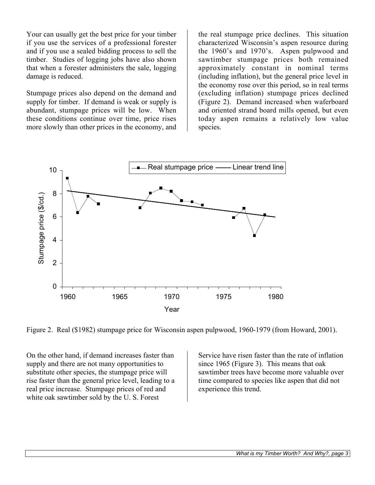Your can usually get the best price for your timber if you use the services of a professional forester and if you use a sealed bidding process to sell the timber. Studies of logging jobs have also shown that when a forester administers the sale, logging damage is reduced.

Stumpage prices also depend on the demand and supply for timber. If demand is weak or supply is abundant, stumpage prices will be low. When these conditions continue over time, price rises more slowly than other prices in the economy, and the real stumpage price declines. This situation characterized Wisconsin's aspen resource during the 1960's and 1970's. Aspen pulpwood and sawtimber stumpage prices both remained approximately constant in nominal terms (including inflation), but the general price level in the economy rose over this period, so in real terms (excluding inflation) stumpage prices declined (Figure 2). Demand increased when waferboard and oriented strand board mills opened, but even today aspen remains a relatively low value species.



Figure 2. Real (\$1982) stumpage price for Wisconsin aspen pulpwood, 1960-1979 (from Howard, 2001).

On the other hand, if demand increases faster than supply and there are not many opportunities to substitute other species, the stumpage price will rise faster than the general price level, leading to a real price increase. Stumpage prices of red and white oak sawtimber sold by the U. S. Forest

Service have risen faster than the rate of inflation since 1965 (Figure 3). This means that oak sawtimber trees have become more valuable over time compared to species like aspen that did not experience this trend.